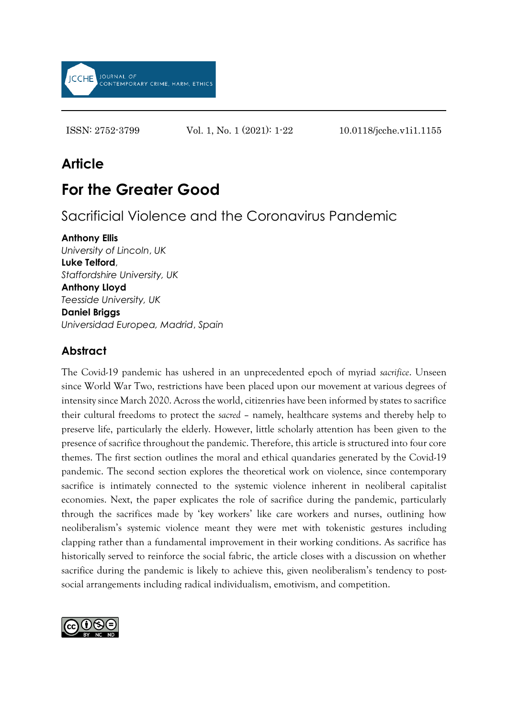

ISSN: 2752-3799 Vol. 1, No. 1 (2021): 1-22 10.0118/jcche.v1i1.1155

# **Article**

# **For the Greater Good**

Sacrificial Violence and the Coronavirus Pandemic

#### **Anthony Ellis**

*University of Lincoln*, *UK* **Luke Telford**, *Staffordshire University, UK* **Anthony Lloyd** *Teesside University, UK* **Daniel Briggs** *Universidad Europea, Madrid*, *Spain*

# **Abstract**

The Covid-19 pandemic has ushered in an unprecedented epoch of myriad *sacrifice*. Unseen since World War Two, restrictions have been placed upon our movement at various degrees of intensity since March 2020. Across the world, citizenries have been informed by states to sacrifice their cultural freedoms to protect the *sacred* – namely, healthcare systems and thereby help to preserve life, particularly the elderly. However, little scholarly attention has been given to the presence of sacrifice throughout the pandemic. Therefore, this article is structured into four core themes. The first section outlines the moral and ethical quandaries generated by the Covid-19 pandemic. The second section explores the theoretical work on violence, since contemporary sacrifice is intimately connected to the systemic violence inherent in neoliberal capitalist economies. Next, the paper explicates the role of sacrifice during the pandemic, particularly through the sacrifices made by 'key workers' like care workers and nurses, outlining how neoliberalism's systemic violence meant they were met with tokenistic gestures including clapping rather than a fundamental improvement in their working conditions. As sacrifice has historically served to reinforce the social fabric, the article closes with a discussion on whether sacrifice during the pandemic is likely to achieve this, given neoliberalism's tendency to postsocial arrangements including radical individualism, emotivism, and competition.

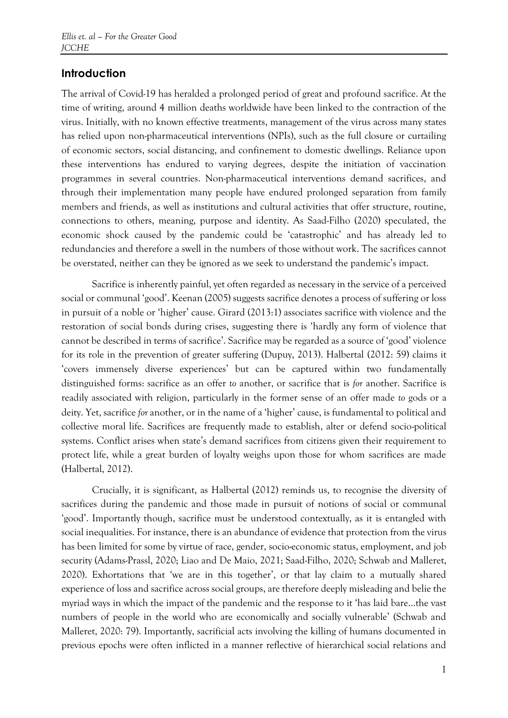## **Introduction**

The arrival of Covid-19 has heralded a prolonged period of great and profound sacrifice. At the time of writing, around 4 million deaths worldwide have been linked to the contraction of the virus. Initially, with no known effective treatments, management of the virus across many states has relied upon non-pharmaceutical interventions (NPIs), such as the full closure or curtailing of economic sectors, social distancing, and confinement to domestic dwellings. Reliance upon these interventions has endured to varying degrees, despite the initiation of vaccination programmes in several countries. Non-pharmaceutical interventions demand sacrifices, and through their implementation many people have endured prolonged separation from family members and friends, as well as institutions and cultural activities that offer structure, routine, connections to others, meaning, purpose and identity. As Saad-Filho (2020) speculated, the economic shock caused by the pandemic could be 'catastrophic' and has already led to redundancies and therefore a swell in the numbers of those without work. The sacrifices cannot be overstated, neither can they be ignored as we seek to understand the pandemic's impact.

Sacrifice is inherently painful, yet often regarded as necessary in the service of a perceived social or communal 'good'. Keenan (2005) suggests sacrifice denotes a process of suffering or loss in pursuit of a noble or 'higher' cause. Girard (2013:1) associates sacrifice with violence and the restoration of social bonds during crises, suggesting there is 'hardly any form of violence that cannot be described in terms of sacrifice'. Sacrifice may be regarded as a source of 'good' violence for its role in the prevention of greater suffering (Dupuy, 2013). Halbertal (2012: 59) claims it 'covers immensely diverse experiences' but can be captured within two fundamentally distinguished forms: sacrifice as an offer *to* another, or sacrifice that is *for* another. Sacrifice is readily associated with religion, particularly in the former sense of an offer made *to* gods or a deity. Yet, sacrifice *for* another, or in the name of a 'higher' cause, is fundamental to political and collective moral life. Sacrifices are frequently made to establish, alter or defend socio-political systems. Conflict arises when state's demand sacrifices from citizens given their requirement to protect life, while a great burden of loyalty weighs upon those for whom sacrifices are made (Halbertal, 2012).

Crucially, it is significant, as Halbertal (2012) reminds us, to recognise the diversity of sacrifices during the pandemic and those made in pursuit of notions of social or communal 'good'. Importantly though, sacrifice must be understood contextually, as it is entangled with social inequalities. For instance, there is an abundance of evidence that protection from the virus has been limited for some by virtue of race, gender, socio-economic status, employment, and job security (Adams-Prassl, 2020; Liao and De Maio, 2021; Saad-Filho, 2020; Schwab and Malleret, 2020). Exhortations that 'we are in this together', or that lay claim to a mutually shared experience of loss and sacrifice across social groups, are therefore deeply misleading and belie the myriad ways in which the impact of the pandemic and the response to it 'has laid bare...the vast numbers of people in the world who are economically and socially vulnerable' (Schwab and Malleret, 2020: 79). Importantly, sacrificial acts involving the killing of humans documented in previous epochs were often inflicted in a manner reflective of hierarchical social relations and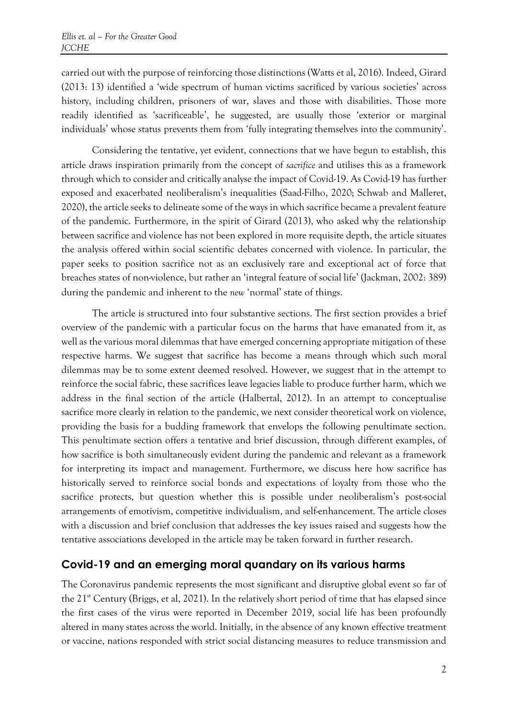carried out with the purpose of reinforcing those distinctions (Watts et al, 2016). Indeed, Girard (2013: 13) identified a 'wide spectrum of human victims sacrificed by various societies' across history, including children, prisoners of war, slaves and those with disabilities. Those more readily identified as 'sacrificeable', he suggested, are usually those 'exterior or marginal individuals' whose status prevents them from 'fully integrating themselves into the community'.

Considering the tentative, yet evident, connections that we have begun to establish, this article draws inspiration primarily from the concept of *sacrifice* and utilises this as a framework through which to consider and critically analyse the impact of Covid-19. As Covid-19 has further exposed and exacerbated neoliberalism's inequalities (Saad-Filho, 2020; Schwab and Malleret, 2020), the article seeks to delineate some of the ways in which sacrifice became a prevalent feature of the pandemic. Furthermore, in the spirit of Girard (2013), who asked why the relationship between sacrifice and violence has not been explored in more requisite depth, the article situates the analysis offered within social scientific debates concerned with violence. In particular, the paper seeks to position sacrifice not as an exclusively rare and exceptional act of force that breaches states of non-violence, but rather an 'integral feature of social life' (Jackman, 2002: 389) during the pandemic and inherent to the *new* 'normal' state of things.

The article is structured into four substantive sections. The first section provides a brief overview of the pandemic with a particular focus on the harms that have emanated from it, as well as the various moral dilemmas that have emerged concerning appropriate mitigation of these respective harms. We suggest that sacrifice has become a means through which such moral dilemmas may be to some extent deemed resolved. However, we suggest that in the attempt to reinforce the social fabric, these sacrifices leave legacies liable to produce further harm, which we address in the final section of the article (Halbertal, 2012). In an attempt to conceptualise sacrifice more clearly in relation to the pandemic, we next consider theoretical work on violence, providing the basis for a budding framework that envelops the following penultimate section. This penultimate section offers a tentative and brief discussion, through different examples, of how sacrifice is both simultaneously evident during the pandemic and relevant as a framework for interpreting its impact and management. Furthermore, we discuss here how sacrifice has historically served to reinforce social bonds and expectations of loyalty from those who the sacrifice protects, but question whether this is possible under neoliberalism's post-social arrangements of emotivism, competitive individualism, and self-enhancement. The article closes with a discussion and brief conclusion that addresses the key issues raised and suggests how the tentative associations developed in the article may be taken forward in further research.

## **Covid-19 and an emerging moral quandary on its various harms**

The Coronavirus pandemic represents the most significant and disruptive global event so far of the 21st Century (Briggs, et al, 2021). In the relatively short period of time that has elapsed since the first cases of the virus were reported in December 2019, social life has been profoundly altered in many states across the world. Initially, in the absence of any known effective treatment or vaccine, nations responded with strict social distancing measures to reduce transmission and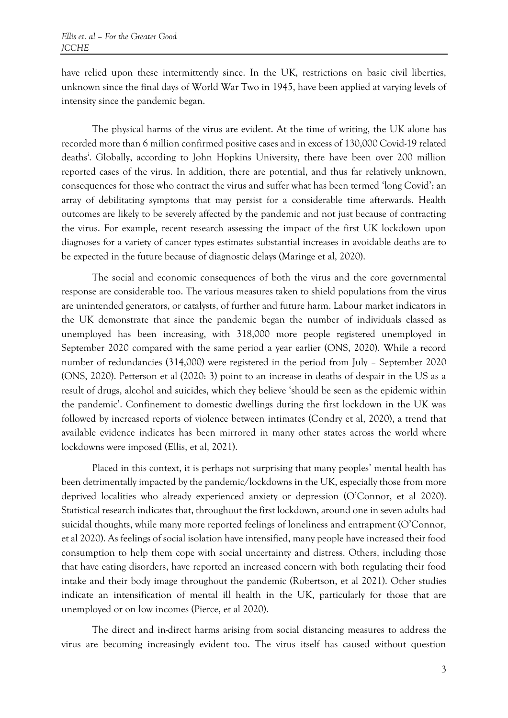have relied upon these intermittently since. In the UK, restrictions on basic civil liberties, unknown since the final days of World War Two in 1945, have been applied at varying levels of intensity since the pandemic began.

The physical harms of the virus are evident. At the time of writing, the UK alone has recorded more than 6 million confirmed positive cases and in excess of 130,000 Covid-19 related deaths<sup>i</sup>. Globally, according to John Hopkins University, there have been over 200 million reported cases of the virus. In addition, there are potential, and thus far relatively unknown, consequences for those who contract the virus and suffer what has been termed 'long Covid': an array of debilitating symptoms that may persist for a considerable time afterwards. Health outcomes are likely to be severely affected by the pandemic and not just because of contracting the virus. For example, recent research assessing the impact of the first UK lockdown upon diagnoses for a variety of cancer types estimates substantial increases in avoidable deaths are to be expected in the future because of diagnostic delays (Maringe et al, 2020).

The social and economic consequences of both the virus and the core governmental response are considerable too. The various measures taken to shield populations from the virus are unintended generators, or catalysts, of further and future harm. Labour market indicators in the UK demonstrate that since the pandemic began the number of individuals classed as unemployed has been increasing, with 318,000 more people registered unemployed in September 2020 compared with the same period a year earlier (ONS, 2020). While a record number of redundancies (314,000) were registered in the period from July – September 2020 (ONS, 2020). Petterson et al (2020: 3) point to an increase in deaths of despair in the US as a result of drugs, alcohol and suicides, which they believe 'should be seen as the epidemic within the pandemic'. Confinement to domestic dwellings during the first lockdown in the UK was followed by increased reports of violence between intimates (Condry et al, 2020), a trend that available evidence indicates has been mirrored in many other states across the world where lockdowns were imposed (Ellis, et al, 2021).

Placed in this context, it is perhaps not surprising that many peoples' mental health has been detrimentally impacted by the pandemic/lockdowns in the UK, especially those from more deprived localities who already experienced anxiety or depression (O'Connor, et al 2020). Statistical research indicates that, throughout the first lockdown, around one in seven adults had suicidal thoughts, while many more reported feelings of loneliness and entrapment (O'Connor, et al 2020). As feelings of social isolation have intensified, many people have increased their food consumption to help them cope with social uncertainty and distress. Others, including those that have eating disorders, have reported an increased concern with both regulating their food intake and their body image throughout the pandemic (Robertson, et al 2021). Other studies indicate an intensification of mental ill health in the UK, particularly for those that are unemployed or on low incomes (Pierce, et al 2020).

The direct and in-direct harms arising from social distancing measures to address the virus are becoming increasingly evident too. The virus itself has caused without question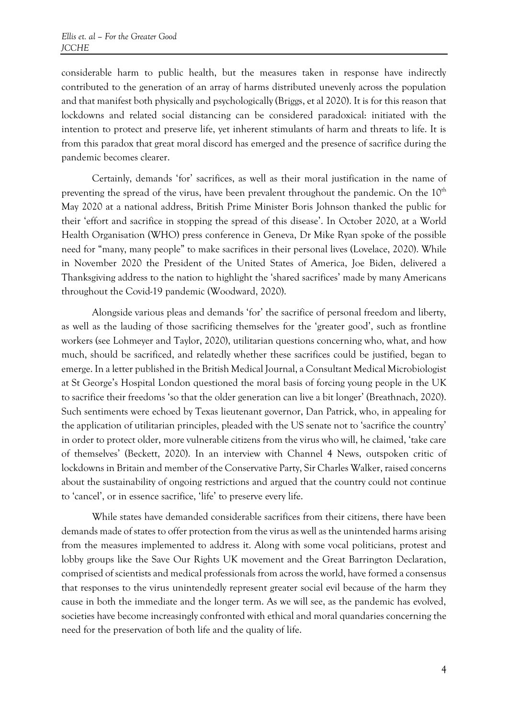considerable harm to public health, but the measures taken in response have indirectly contributed to the generation of an array of harms distributed unevenly across the population and that manifest both physically and psychologically (Briggs, et al 2020). It is for this reason that lockdowns and related social distancing can be considered paradoxical: initiated with the intention to protect and preserve life, yet inherent stimulants of harm and threats to life. It is from this paradox that great moral discord has emerged and the presence of sacrifice during the pandemic becomes clearer.

Certainly, demands 'for' sacrifices, as well as their moral justification in the name of preventing the spread of the virus, have been prevalent throughout the pandemic. On the  $10<sup>th</sup>$ May 2020 at a national address, British Prime Minister Boris Johnson thanked the public for their 'effort and sacrifice in stopping the spread of this disease'. In October 2020, at a World Health Organisation (WHO) press conference in Geneva, Dr Mike Ryan spoke of the possible need for "many, many people" to make sacrifices in their personal lives (Lovelace, 2020). While in November 2020 the President of the United States of America, Joe Biden, delivered a Thanksgiving address to the nation to highlight the 'shared sacrifices' made by many Americans throughout the Covid-19 pandemic (Woodward, 2020).

Alongside various pleas and demands 'for' the sacrifice of personal freedom and liberty, as well as the lauding of those sacrificing themselves for the 'greater good', such as frontline workers (see Lohmeyer and Taylor, 2020), utilitarian questions concerning who, what, and how much, should be sacrificed, and relatedly whether these sacrifices could be justified, began to emerge. In a letter published in the British Medical Journal, a Consultant Medical Microbiologist at St George's Hospital London questioned the moral basis of forcing young people in the UK to sacrifice their freedoms 'so that the older generation can live a bit longer' (Breathnach, 2020). Such sentiments were echoed by Texas lieutenant governor, Dan Patrick, who, in appealing for the application of utilitarian principles, pleaded with the US senate not to 'sacrifice the country' in order to protect older, more vulnerable citizens from the virus who will, he claimed, 'take care of themselves' (Beckett, 2020). In an interview with Channel 4 News, outspoken critic of lockdowns in Britain and member of the Conservative Party, Sir Charles Walker, raised concerns about the sustainability of ongoing restrictions and argued that the country could not continue to 'cancel', or in essence sacrifice, 'life' to preserve every life.

While states have demanded considerable sacrifices from their citizens, there have been demands made of states to offer protection from the virus as well as the unintended harms arising from the measures implemented to address it. Along with some vocal politicians, protest and lobby groups like the Save Our Rights UK movement and the Great Barrington Declaration, comprised of scientists and medical professionals from across the world, have formed a consensus that responses to the virus unintendedly represent greater social evil because of the harm they cause in both the immediate and the longer term. As we will see, as the pandemic has evolved, societies have become increasingly confronted with ethical and moral quandaries concerning the need for the preservation of both life and the quality of life.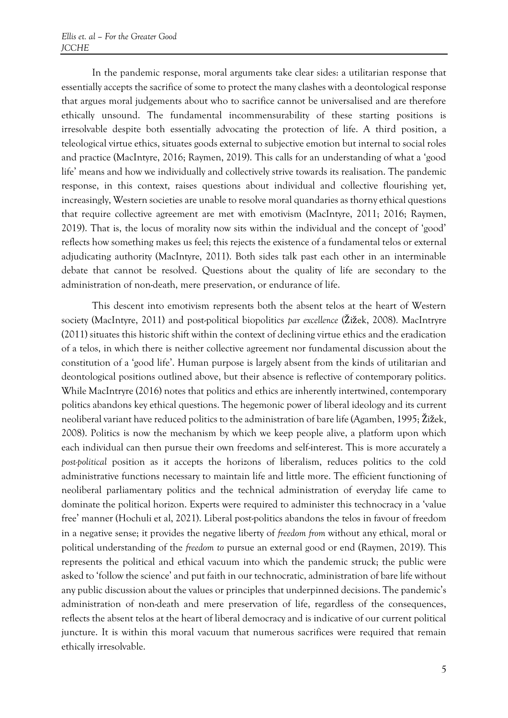In the pandemic response, moral arguments take clear sides: a utilitarian response that essentially accepts the sacrifice of some to protect the many clashes with a deontological response that argues moral judgements about who to sacrifice cannot be universalised and are therefore ethically unsound. The fundamental incommensurability of these starting positions is irresolvable despite both essentially advocating the protection of life. A third position, a teleological virtue ethics, situates goods external to subjective emotion but internal to social roles and practice (MacIntyre, 2016; Raymen, 2019). This calls for an understanding of what a 'good life' means and how we individually and collectively strive towards its realisation. The pandemic response, in this context, raises questions about individual and collective flourishing yet, increasingly, Western societies are unable to resolve moral quandaries as thorny ethical questions that require collective agreement are met with emotivism (MacIntyre, 2011; 2016; Raymen, 2019). That is, the locus of morality now sits within the individual and the concept of 'good' reflects how something makes us feel; this rejects the existence of a fundamental telos or external adjudicating authority (MacIntyre, 2011). Both sides talk past each other in an interminable debate that cannot be resolved. Questions about the quality of life are secondary to the administration of non-death, mere preservation, or endurance of life.

This descent into emotivism represents both the absent telos at the heart of Western society (MacIntyre, 2011) and post-political biopolitics *par excellence* (Žižek, 2008). MacIntryre (2011) situates this historic shift within the context of declining virtue ethics and the eradication of a telos, in which there is neither collective agreement nor fundamental discussion about the constitution of a 'good life'. Human purpose is largely absent from the kinds of utilitarian and deontological positions outlined above, but their absence is reflective of contemporary politics. While MacIntryre (2016) notes that politics and ethics are inherently intertwined, contemporary politics abandons key ethical questions. The hegemonic power of liberal ideology and its current neoliberal variant have reduced politics to the administration of bare life (Agamben, 1995; Žižek, 2008). Politics is now the mechanism by which we keep people alive, a platform upon which each individual can then pursue their own freedoms and self-interest. This is more accurately a *post-political* position as it accepts the horizons of liberalism, reduces politics to the cold administrative functions necessary to maintain life and little more. The efficient functioning of neoliberal parliamentary politics and the technical administration of everyday life came to dominate the political horizon. Experts were required to administer this technocracy in a 'value free' manner (Hochuli et al, 2021). Liberal post-politics abandons the telos in favour of freedom in a negative sense; it provides the negative liberty of *freedom from* without any ethical, moral or political understanding of the *freedom to* pursue an external good or end (Raymen, 2019). This represents the political and ethical vacuum into which the pandemic struck; the public were asked to 'follow the science' and put faith in our technocratic, administration of bare life without any public discussion about the values or principles that underpinned decisions. The pandemic's administration of non-death and mere preservation of life, regardless of the consequences, reflects the absent telos at the heart of liberal democracy and is indicative of our current political juncture. It is within this moral vacuum that numerous sacrifices were required that remain ethically irresolvable.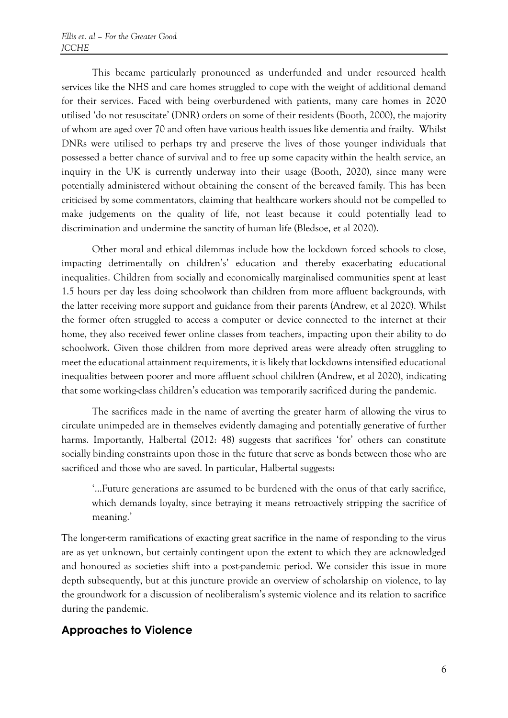This became particularly pronounced as underfunded and under resourced health services like the NHS and care homes struggled to cope with the weight of additional demand for their services. Faced with being overburdened with patients, many care homes in 2020 utilised 'do not resuscitate' (DNR) orders on some of their residents (Booth, 2000), the majority of whom are aged over 70 and often have various health issues like dementia and frailty. Whilst DNRs were utilised to perhaps try and preserve the lives of those younger individuals that possessed a better chance of survival and to free up some capacity within the health service, an inquiry in the UK is currently underway into their usage (Booth, 2020), since many were potentially administered without obtaining the consent of the bereaved family. This has been criticised by some commentators, claiming that healthcare workers should not be compelled to make judgements on the quality of life, not least because it could potentially lead to discrimination and undermine the sanctity of human life (Bledsoe, et al 2020).

Other moral and ethical dilemmas include how the lockdown forced schools to close, impacting detrimentally on children's' education and thereby exacerbating educational inequalities. Children from socially and economically marginalised communities spent at least 1.5 hours per day less doing schoolwork than children from more affluent backgrounds, with the latter receiving more support and guidance from their parents (Andrew, et al 2020). Whilst the former often struggled to access a computer or device connected to the internet at their home, they also received fewer online classes from teachers, impacting upon their ability to do schoolwork. Given those children from more deprived areas were already often struggling to meet the educational attainment requirements, it is likely that lockdowns intensified educational inequalities between poorer and more affluent school children (Andrew, et al 2020), indicating that some working-class children's education was temporarily sacrificed during the pandemic.

The sacrifices made in the name of averting the greater harm of allowing the virus to circulate unimpeded are in themselves evidently damaging and potentially generative of further harms. Importantly, Halbertal (2012: 48) suggests that sacrifices 'for' others can constitute socially binding constraints upon those in the future that serve as bonds between those who are sacrificed and those who are saved. In particular, Halbertal suggests:

'...Future generations are assumed to be burdened with the onus of that early sacrifice, which demands loyalty, since betraying it means retroactively stripping the sacrifice of meaning.'

The longer-term ramifications of exacting great sacrifice in the name of responding to the virus are as yet unknown, but certainly contingent upon the extent to which they are acknowledged and honoured as societies shift into a post-pandemic period. We consider this issue in more depth subsequently, but at this juncture provide an overview of scholarship on violence, to lay the groundwork for a discussion of neoliberalism's systemic violence and its relation to sacrifice during the pandemic.

#### **Approaches to Violence**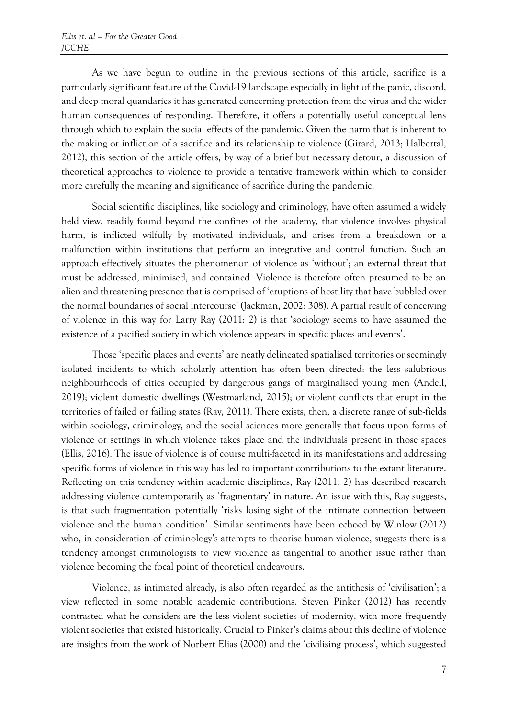As we have begun to outline in the previous sections of this article, sacrifice is a particularly significant feature of the Covid-19 landscape especially in light of the panic, discord, and deep moral quandaries it has generated concerning protection from the virus and the wider human consequences of responding. Therefore, it offers a potentially useful conceptual lens through which to explain the social effects of the pandemic. Given the harm that is inherent to the making or infliction of a sacrifice and its relationship to violence (Girard, 2013; Halbertal, 2012), this section of the article offers, by way of a brief but necessary detour, a discussion of theoretical approaches to violence to provide a tentative framework within which to consider more carefully the meaning and significance of sacrifice during the pandemic.

Social scientific disciplines, like sociology and criminology, have often assumed a widely held view, readily found beyond the confines of the academy, that violence involves physical harm, is inflicted wilfully by motivated individuals, and arises from a breakdown or a malfunction within institutions that perform an integrative and control function. Such an approach effectively situates the phenomenon of violence as 'without'; an external threat that must be addressed, minimised, and contained. Violence is therefore often presumed to be an alien and threatening presence that is comprised of 'eruptions of hostility that have bubbled over the normal boundaries of social intercourse' (Jackman, 2002: 308). A partial result of conceiving of violence in this way for Larry Ray (2011: 2) is that 'sociology seems to have assumed the existence of a pacified society in which violence appears in specific places and events'.

Those 'specific places and events' are neatly delineated spatialised territories or seemingly isolated incidents to which scholarly attention has often been directed: the less salubrious neighbourhoods of cities occupied by dangerous gangs of marginalised young men (Andell, 2019); violent domestic dwellings (Westmarland, 2015); or violent conflicts that erupt in the territories of failed or failing states (Ray, 2011). There exists, then, a discrete range of sub-fields within sociology, criminology, and the social sciences more generally that focus upon forms of violence or settings in which violence takes place and the individuals present in those spaces (Ellis, 2016). The issue of violence is of course multi-faceted in its manifestations and addressing specific forms of violence in this way has led to important contributions to the extant literature. Reflecting on this tendency within academic disciplines, Ray (2011: 2) has described research addressing violence contemporarily as 'fragmentary' in nature. An issue with this, Ray suggests, is that such fragmentation potentially 'risks losing sight of the intimate connection between violence and the human condition'. Similar sentiments have been echoed by Winlow (2012) who, in consideration of criminology's attempts to theorise human violence, suggests there is a tendency amongst criminologists to view violence as tangential to another issue rather than violence becoming the focal point of theoretical endeavours.

Violence, as intimated already, is also often regarded as the antithesis of 'civilisation'; a view reflected in some notable academic contributions. Steven Pinker (2012) has recently contrasted what he considers are the less violent societies of modernity, with more frequently violent societies that existed historically. Crucial to Pinker's claims about this decline of violence are insights from the work of Norbert Elias (2000) and the 'civilising process', which suggested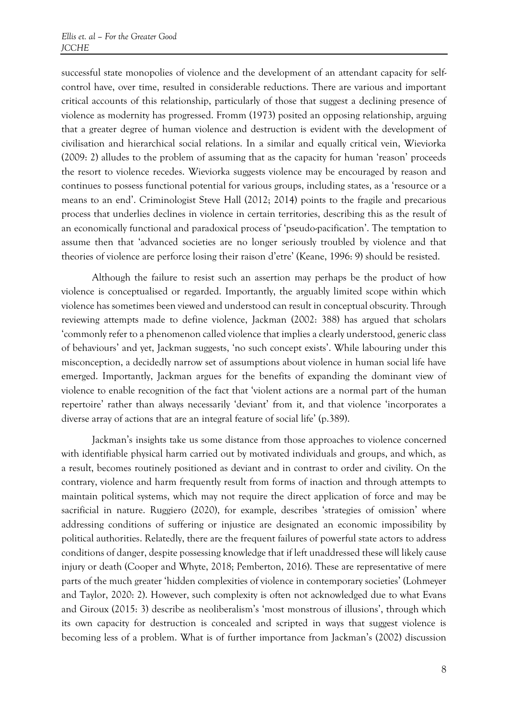successful state monopolies of violence and the development of an attendant capacity for selfcontrol have, over time, resulted in considerable reductions. There are various and important critical accounts of this relationship, particularly of those that suggest a declining presence of violence as modernity has progressed. Fromm (1973) posited an opposing relationship, arguing that a greater degree of human violence and destruction is evident with the development of civilisation and hierarchical social relations. In a similar and equally critical vein, Wieviorka (2009: 2) alludes to the problem of assuming that as the capacity for human 'reason' proceeds the resort to violence recedes. Wieviorka suggests violence may be encouraged by reason and continues to possess functional potential for various groups, including states, as a 'resource or a means to an end'. Criminologist Steve Hall (2012; 2014) points to the fragile and precarious process that underlies declines in violence in certain territories, describing this as the result of an economically functional and paradoxical process of 'pseudo-pacification'. The temptation to assume then that 'advanced societies are no longer seriously troubled by violence and that theories of violence are perforce losing their raison d'etre' (Keane, 1996: 9) should be resisted.

Although the failure to resist such an assertion may perhaps be the product of how violence is conceptualised or regarded. Importantly, the arguably limited scope within which violence has sometimes been viewed and understood can result in conceptual obscurity. Through reviewing attempts made to define violence, Jackman (2002: 388) has argued that scholars 'commonly refer to a phenomenon called violence that implies a clearly understood, generic class of behaviours' and yet, Jackman suggests, 'no such concept exists'. While labouring under this misconception, a decidedly narrow set of assumptions about violence in human social life have emerged. Importantly, Jackman argues for the benefits of expanding the dominant view of violence to enable recognition of the fact that 'violent actions are a normal part of the human repertoire' rather than always necessarily 'deviant' from it, and that violence 'incorporates a diverse array of actions that are an integral feature of social life' (p.389).

Jackman's insights take us some distance from those approaches to violence concerned with identifiable physical harm carried out by motivated individuals and groups, and which, as a result, becomes routinely positioned as deviant and in contrast to order and civility. On the contrary, violence and harm frequently result from forms of inaction and through attempts to maintain political systems, which may not require the direct application of force and may be sacrificial in nature. Ruggiero (2020), for example, describes 'strategies of omission' where addressing conditions of suffering or injustice are designated an economic impossibility by political authorities. Relatedly, there are the frequent failures of powerful state actors to address conditions of danger, despite possessing knowledge that if left unaddressed these will likely cause injury or death (Cooper and Whyte, 2018; Pemberton, 2016). These are representative of mere parts of the much greater 'hidden complexities of violence in contemporary societies' (Lohmeyer and Taylor, 2020: 2). However, such complexity is often not acknowledged due to what Evans and Giroux (2015: 3) describe as neoliberalism's 'most monstrous of illusions', through which its own capacity for destruction is concealed and scripted in ways that suggest violence is becoming less of a problem. What is of further importance from Jackman's (2002) discussion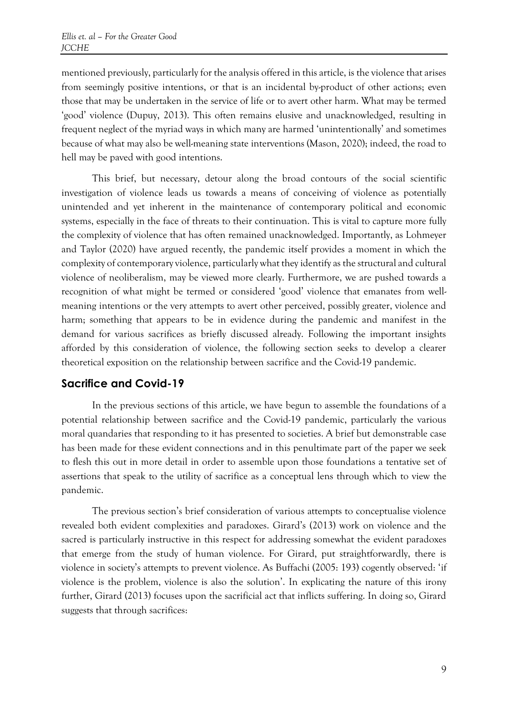mentioned previously, particularly for the analysis offered in this article, is the violence that arises from seemingly positive intentions, or that is an incidental by-product of other actions; even those that may be undertaken in the service of life or to avert other harm. What may be termed 'good' violence (Dupuy, 2013). This often remains elusive and unacknowledged, resulting in frequent neglect of the myriad ways in which many are harmed 'unintentionally' and sometimes because of what may also be well-meaning state interventions (Mason, 2020); indeed, the road to hell may be paved with good intentions.

This brief, but necessary, detour along the broad contours of the social scientific investigation of violence leads us towards a means of conceiving of violence as potentially unintended and yet inherent in the maintenance of contemporary political and economic systems, especially in the face of threats to their continuation. This is vital to capture more fully the complexity of violence that has often remained unacknowledged. Importantly, as Lohmeyer and Taylor (2020) have argued recently, the pandemic itself provides a moment in which the complexity of contemporary violence, particularly what they identify as the structural and cultural violence of neoliberalism, may be viewed more clearly. Furthermore, we are pushed towards a recognition of what might be termed or considered 'good' violence that emanates from wellmeaning intentions or the very attempts to avert other perceived, possibly greater, violence and harm; something that appears to be in evidence during the pandemic and manifest in the demand for various sacrifices as briefly discussed already. Following the important insights afforded by this consideration of violence, the following section seeks to develop a clearer theoretical exposition on the relationship between sacrifice and the Covid-19 pandemic.

#### **Sacrifice and Covid-19**

In the previous sections of this article, we have begun to assemble the foundations of a potential relationship between sacrifice and the Covid-19 pandemic, particularly the various moral quandaries that responding to it has presented to societies. A brief but demonstrable case has been made for these evident connections and in this penultimate part of the paper we seek to flesh this out in more detail in order to assemble upon those foundations a tentative set of assertions that speak to the utility of sacrifice as a conceptual lens through which to view the pandemic.

The previous section's brief consideration of various attempts to conceptualise violence revealed both evident complexities and paradoxes. Girard's (2013) work on violence and the sacred is particularly instructive in this respect for addressing somewhat the evident paradoxes that emerge from the study of human violence. For Girard, put straightforwardly, there is violence in society's attempts to prevent violence. As Buffachi (2005: 193) cogently observed: 'if violence is the problem, violence is also the solution'. In explicating the nature of this irony further, Girard (2013) focuses upon the sacrificial act that inflicts suffering. In doing so, Girard suggests that through sacrifices: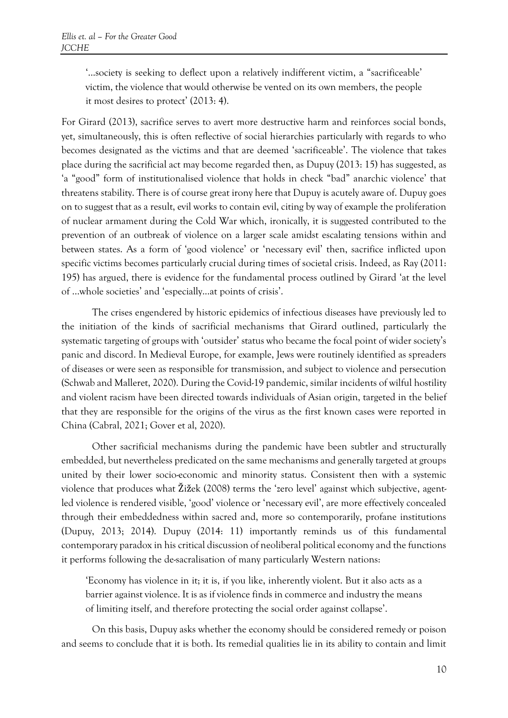'...society is seeking to deflect upon a relatively indifferent victim, a "sacrificeable' victim, the violence that would otherwise be vented on its own members, the people it most desires to protect' (2013: 4).

For Girard (2013), sacrifice serves to avert more destructive harm and reinforces social bonds, yet, simultaneously, this is often reflective of social hierarchies particularly with regards to who becomes designated as the victims and that are deemed 'sacrificeable'. The violence that takes place during the sacrificial act may become regarded then, as Dupuy (2013: 15) has suggested, as 'a "good" form of institutionalised violence that holds in check "bad" anarchic violence' that threatens stability. There is of course great irony here that Dupuy is acutely aware of. Dupuy goes on to suggest that as a result, evil works to contain evil, citing by way of example the proliferation of nuclear armament during the Cold War which, ironically, it is suggested contributed to the prevention of an outbreak of violence on a larger scale amidst escalating tensions within and between states. As a form of 'good violence' or 'necessary evil' then, sacrifice inflicted upon specific victims becomes particularly crucial during times of societal crisis. Indeed, as Ray (2011: 195) has argued, there is evidence for the fundamental process outlined by Girard 'at the level of ...whole societies' and 'especially...at points of crisis'.

The crises engendered by historic epidemics of infectious diseases have previously led to the initiation of the kinds of sacrificial mechanisms that Girard outlined, particularly the systematic targeting of groups with 'outsider' status who became the focal point of wider society's panic and discord. In Medieval Europe, for example, Jews were routinely identified as spreaders of diseases or were seen as responsible for transmission, and subject to violence and persecution (Schwab and Malleret, 2020). During the Covid-19 pandemic, similar incidents of wilful hostility and violent racism have been directed towards individuals of Asian origin, targeted in the belief that they are responsible for the origins of the virus as the first known cases were reported in China (Cabral, 2021; Gover et al, 2020).

Other sacrificial mechanisms during the pandemic have been subtler and structurally embedded, but nevertheless predicated on the same mechanisms and generally targeted at groups united by their lower socio-economic and minority status. Consistent then with a systemic violence that produces what Žižek (2008) terms the 'zero level' against which subjective, agentled violence is rendered visible, 'good' violence or 'necessary evil', are more effectively concealed through their embeddedness within sacred and, more so contemporarily, profane institutions (Dupuy, 2013; 2014). Dupuy (2014: 11) importantly reminds us of this fundamental contemporary paradox in his critical discussion of neoliberal political economy and the functions it performs following the de-sacralisation of many particularly Western nations:

'Economy has violence in it; it is, if you like, inherently violent. But it also acts as a barrier against violence. It is as if violence finds in commerce and industry the means of limiting itself, and therefore protecting the social order against collapse'.

On this basis, Dupuy asks whether the economy should be considered remedy or poison and seems to conclude that it is both. Its remedial qualities lie in its ability to contain and limit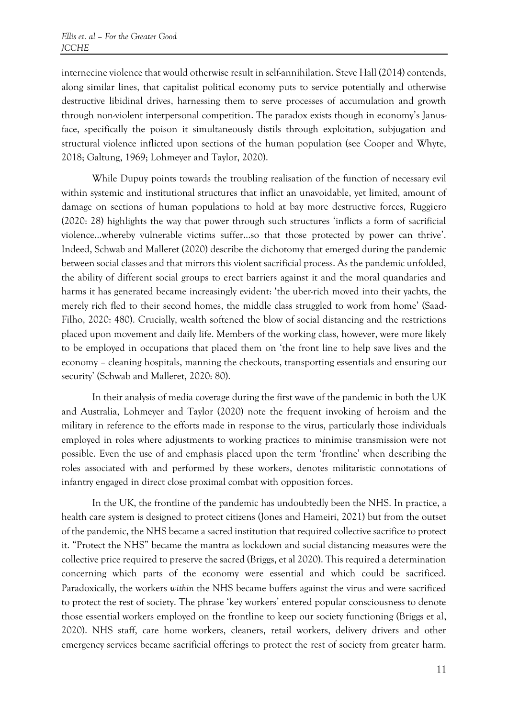internecine violence that would otherwise result in self-annihilation. Steve Hall (2014) contends, along similar lines, that capitalist political economy puts to service potentially and otherwise destructive libidinal drives, harnessing them to serve processes of accumulation and growth through non-violent interpersonal competition. The paradox exists though in economy's Janusface, specifically the poison it simultaneously distils through exploitation, subjugation and structural violence inflicted upon sections of the human population (see Cooper and Whyte, 2018; Galtung, 1969; Lohmeyer and Taylor, 2020).

While Dupuy points towards the troubling realisation of the function of necessary evil within systemic and institutional structures that inflict an unavoidable, yet limited, amount of damage on sections of human populations to hold at bay more destructive forces, Ruggiero (2020: 28) highlights the way that power through such structures 'inflicts a form of sacrificial violence...whereby vulnerable victims suffer...so that those protected by power can thrive'. Indeed, Schwab and Malleret (2020) describe the dichotomy that emerged during the pandemic between social classes and that mirrors this violent sacrificial process. As the pandemic unfolded, the ability of different social groups to erect barriers against it and the moral quandaries and harms it has generated became increasingly evident: 'the uber-rich moved into their yachts, the merely rich fled to their second homes, the middle class struggled to work from home' (Saad-Filho, 2020: 480). Crucially, wealth softened the blow of social distancing and the restrictions placed upon movement and daily life. Members of the working class, however, were more likely to be employed in occupations that placed them on 'the front line to help save lives and the economy – cleaning hospitals, manning the checkouts, transporting essentials and ensuring our security' (Schwab and Malleret, 2020: 80).

In their analysis of media coverage during the first wave of the pandemic in both the UK and Australia, Lohmeyer and Taylor (2020) note the frequent invoking of heroism and the military in reference to the efforts made in response to the virus, particularly those individuals employed in roles where adjustments to working practices to minimise transmission were not possible. Even the use of and emphasis placed upon the term 'frontline' when describing the roles associated with and performed by these workers, denotes militaristic connotations of infantry engaged in direct close proximal combat with opposition forces.

In the UK, the frontline of the pandemic has undoubtedly been the NHS. In practice, a health care system is designed to protect citizens (Jones and Hameiri, 2021) but from the outset of the pandemic, the NHS became a sacred institution that required collective sacrifice to protect it. "Protect the NHS" became the mantra as lockdown and social distancing measures were the collective price required to preserve the sacred (Briggs, et al 2020). This required a determination concerning which parts of the economy were essential and which could be sacrificed. Paradoxically, the workers *within* the NHS became buffers against the virus and were sacrificed to protect the rest of society. The phrase 'key workers' entered popular consciousness to denote those essential workers employed on the frontline to keep our society functioning (Briggs et al, 2020). NHS staff, care home workers, cleaners, retail workers, delivery drivers and other emergency services became sacrificial offerings to protect the rest of society from greater harm.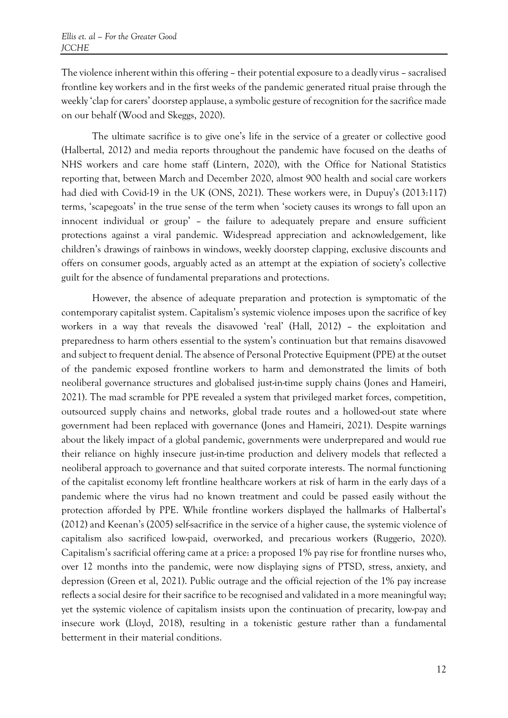The violence inherent within this offering – their potential exposure to a deadly virus – sacralised frontline key workers and in the first weeks of the pandemic generated ritual praise through the weekly 'clap for carers' doorstep applause, a symbolic gesture of recognition for the sacrifice made on our behalf (Wood and Skeggs, 2020).

The ultimate sacrifice is to give one's life in the service of a greater or collective good (Halbertal, 2012) and media reports throughout the pandemic have focused on the deaths of NHS workers and care home staff (Lintern, 2020), with the Office for National Statistics reporting that, between March and December 2020, almost 900 health and social care workers had died with Covid-19 in the UK (ONS, 2021). These workers were, in Dupuy's (2013:117) terms, 'scapegoats' in the true sense of the term when 'society causes its wrongs to fall upon an innocent individual or group' – the failure to adequately prepare and ensure sufficient protections against a viral pandemic. Widespread appreciation and acknowledgement, like children's drawings of rainbows in windows, weekly doorstep clapping, exclusive discounts and offers on consumer goods, arguably acted as an attempt at the expiation of society's collective guilt for the absence of fundamental preparations and protections.

However, the absence of adequate preparation and protection is symptomatic of the contemporary capitalist system. Capitalism's systemic violence imposes upon the sacrifice of key workers in a way that reveals the disavowed 'real' (Hall, 2012) – the exploitation and preparedness to harm others essential to the system's continuation but that remains disavowed and subject to frequent denial. The absence of Personal Protective Equipment (PPE) at the outset of the pandemic exposed frontline workers to harm and demonstrated the limits of both neoliberal governance structures and globalised just-in-time supply chains (Jones and Hameiri, 2021). The mad scramble for PPE revealed a system that privileged market forces, competition, outsourced supply chains and networks, global trade routes and a hollowed-out state where government had been replaced with governance (Jones and Hameiri, 2021). Despite warnings about the likely impact of a global pandemic, governments were underprepared and would rue their reliance on highly insecure just-in-time production and delivery models that reflected a neoliberal approach to governance and that suited corporate interests. The normal functioning of the capitalist economy left frontline healthcare workers at risk of harm in the early days of a pandemic where the virus had no known treatment and could be passed easily without the protection afforded by PPE. While frontline workers displayed the hallmarks of Halbertal's (2012) and Keenan's (2005) self-sacrifice in the service of a higher cause, the systemic violence of capitalism also sacrificed low-paid, overworked, and precarious workers (Ruggerio, 2020). Capitalism's sacrificial offering came at a price: a proposed 1% pay rise for frontline nurses who, over 12 months into the pandemic, were now displaying signs of PTSD, stress, anxiety, and depression (Green et al, 2021). Public outrage and the official rejection of the 1% pay increase reflects a social desire for their sacrifice to be recognised and validated in a more meaningful way; yet the systemic violence of capitalism insists upon the continuation of precarity, low-pay and insecure work (Lloyd, 2018), resulting in a tokenistic gesture rather than a fundamental betterment in their material conditions.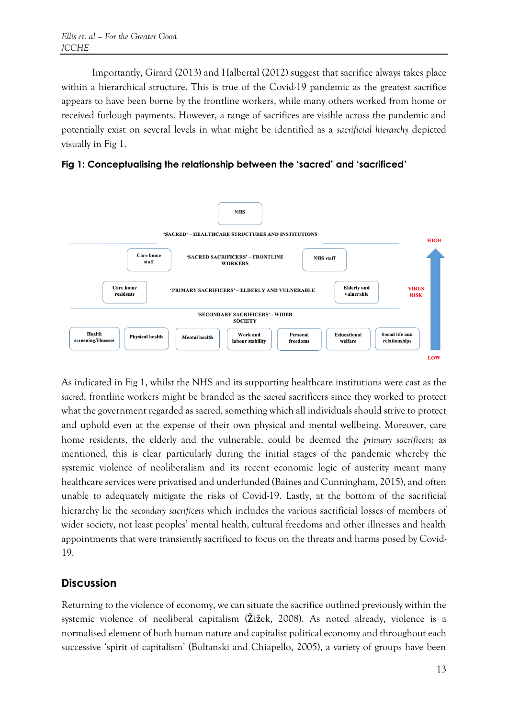Importantly, Girard (2013) and Halbertal (2012) suggest that sacrifice always takes place within a hierarchical structure. This is true of the Covid-19 pandemic as the greatest sacrifice appears to have been borne by the frontline workers, while many others worked from home or received furlough payments. However, a range of sacrifices are visible across the pandemic and potentially exist on several levels in what might be identified as a *sacrificial hierarchy* depicted visually in Fig 1.





As indicated in Fig 1, whilst the NHS and its supporting healthcare institutions were cast as the *sacred*, frontline workers might be branded as the *sacred* sacrificers since they worked to protect what the government regarded as sacred, something which all individuals should strive to protect and uphold even at the expense of their own physical and mental wellbeing. Moreover, care home residents, the elderly and the vulnerable, could be deemed the *primary sacrificers*; as mentioned, this is clear particularly during the initial stages of the pandemic whereby the systemic violence of neoliberalism and its recent economic logic of austerity meant many healthcare services were privatised and underfunded (Baines and Cunningham, 2015), and often unable to adequately mitigate the risks of Covid-19. Lastly, at the bottom of the sacrificial hierarchy lie the *secondary sacrificers* which includes the various sacrificial losses of members of wider society, not least peoples' mental health, cultural freedoms and other illnesses and health appointments that were transiently sacrificed to focus on the threats and harms posed by Covid-19.

## **Discussion**

Returning to the violence of economy, we can situate the sacrifice outlined previously within the systemic violence of neoliberal capitalism (Žižek, 2008). As noted already, violence is a normalised element of both human nature and capitalist political economy and throughout each successive 'spirit of capitalism' (Boltanski and Chiapello, 2005), a variety of groups have been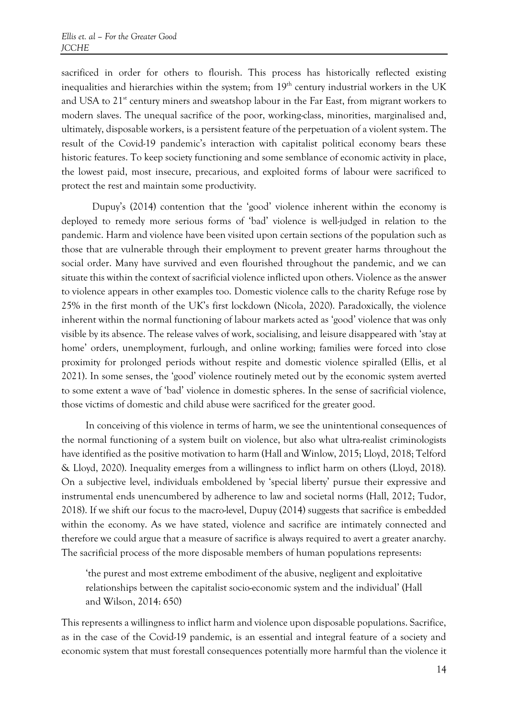sacrificed in order for others to flourish. This process has historically reflected existing inequalities and hierarchies within the system; from  $19<sup>th</sup>$  century industrial workers in the UK and USA to 21<sup>st</sup> century miners and sweatshop labour in the Far East, from migrant workers to modern slaves. The unequal sacrifice of the poor, working-class, minorities, marginalised and, ultimately, disposable workers, is a persistent feature of the perpetuation of a violent system. The result of the Covid-19 pandemic's interaction with capitalist political economy bears these historic features. To keep society functioning and some semblance of economic activity in place, the lowest paid, most insecure, precarious, and exploited forms of labour were sacrificed to protect the rest and maintain some productivity.

Dupuy's (2014) contention that the 'good' violence inherent within the economy is deployed to remedy more serious forms of 'bad' violence is well-judged in relation to the pandemic. Harm and violence have been visited upon certain sections of the population such as those that are vulnerable through their employment to prevent greater harms throughout the social order. Many have survived and even flourished throughout the pandemic, and we can situate this within the context of sacrificial violence inflicted upon others. Violence as the answer to violence appears in other examples too. Domestic violence calls to the charity Refuge rose by 25% in the first month of the UK's first lockdown (Nicola, 2020). Paradoxically, the violence inherent within the normal functioning of labour markets acted as 'good' violence that was only visible by its absence. The release valves of work, socialising, and leisure disappeared with 'stay at home' orders, unemployment, furlough, and online working; families were forced into close proximity for prolonged periods without respite and domestic violence spiralled (Ellis, et al 2021). In some senses, the 'good' violence routinely meted out by the economic system averted to some extent a wave of 'bad' violence in domestic spheres. In the sense of sacrificial violence, those victims of domestic and child abuse were sacrificed for the greater good.

In conceiving of this violence in terms of harm, we see the unintentional consequences of the normal functioning of a system built on violence, but also what ultra-realist criminologists have identified as the positive motivation to harm (Hall and Winlow, 2015; Lloyd, 2018; Telford & Lloyd, 2020). Inequality emerges from a willingness to inflict harm on others (Lloyd, 2018). On a subjective level, individuals emboldened by 'special liberty' pursue their expressive and instrumental ends unencumbered by adherence to law and societal norms (Hall, 2012; Tudor, 2018). If we shift our focus to the macro-level, Dupuy (2014) suggests that sacrifice is embedded within the economy. As we have stated, violence and sacrifice are intimately connected and therefore we could argue that a measure of sacrifice is always required to avert a greater anarchy. The sacrificial process of the more disposable members of human populations represents:

'the purest and most extreme embodiment of the abusive, negligent and exploitative relationships between the capitalist socio-economic system and the individual' (Hall and Wilson, 2014: 650)

This represents a willingness to inflict harm and violence upon disposable populations. Sacrifice, as in the case of the Covid-19 pandemic, is an essential and integral feature of a society and economic system that must forestall consequences potentially more harmful than the violence it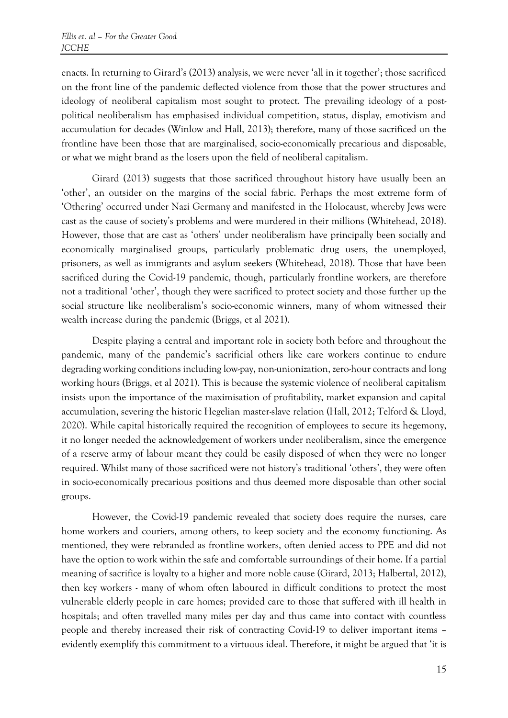enacts. In returning to Girard's (2013) analysis, we were never 'all in it together'; those sacrificed on the front line of the pandemic deflected violence from those that the power structures and ideology of neoliberal capitalism most sought to protect. The prevailing ideology of a postpolitical neoliberalism has emphasised individual competition, status, display, emotivism and accumulation for decades (Winlow and Hall, 2013); therefore, many of those sacrificed on the frontline have been those that are marginalised, socio-economically precarious and disposable, or what we might brand as the losers upon the field of neoliberal capitalism.

Girard (2013) suggests that those sacrificed throughout history have usually been an 'other', an outsider on the margins of the social fabric. Perhaps the most extreme form of 'Othering' occurred under Nazi Germany and manifested in the Holocaust, whereby Jews were cast as the cause of society's problems and were murdered in their millions (Whitehead, 2018). However, those that are cast as 'others' under neoliberalism have principally been socially and economically marginalised groups, particularly problematic drug users, the unemployed, prisoners, as well as immigrants and asylum seekers (Whitehead, 2018). Those that have been sacrificed during the Covid-19 pandemic, though, particularly frontline workers, are therefore not a traditional 'other', though they were sacrificed to protect society and those further up the social structure like neoliberalism's socio-economic winners, many of whom witnessed their wealth increase during the pandemic (Briggs, et al 2021).

Despite playing a central and important role in society both before and throughout the pandemic, many of the pandemic's sacrificial others like care workers continue to endure degrading working conditions including low-pay, non-unionization, zero-hour contracts and long working hours (Briggs, et al 2021). This is because the systemic violence of neoliberal capitalism insists upon the importance of the maximisation of profitability, market expansion and capital accumulation, severing the historic Hegelian master-slave relation (Hall, 2012; Telford & Lloyd, 2020). While capital historically required the recognition of employees to secure its hegemony, it no longer needed the acknowledgement of workers under neoliberalism, since the emergence of a reserve army of labour meant they could be easily disposed of when they were no longer required. Whilst many of those sacrificed were not history's traditional 'others', they were often in socio-economically precarious positions and thus deemed more disposable than other social groups.

However, the Covid-19 pandemic revealed that society does require the nurses, care home workers and couriers, among others, to keep society and the economy functioning. As mentioned, they were rebranded as frontline workers, often denied access to PPE and did not have the option to work within the safe and comfortable surroundings of their home. If a partial meaning of sacrifice is loyalty to a higher and more noble cause (Girard, 2013; Halbertal, 2012), then key workers - many of whom often laboured in difficult conditions to protect the most vulnerable elderly people in care homes; provided care to those that suffered with ill health in hospitals; and often travelled many miles per day and thus came into contact with countless people and thereby increased their risk of contracting Covid-19 to deliver important items – evidently exemplify this commitment to a virtuous ideal. Therefore, it might be argued that 'it is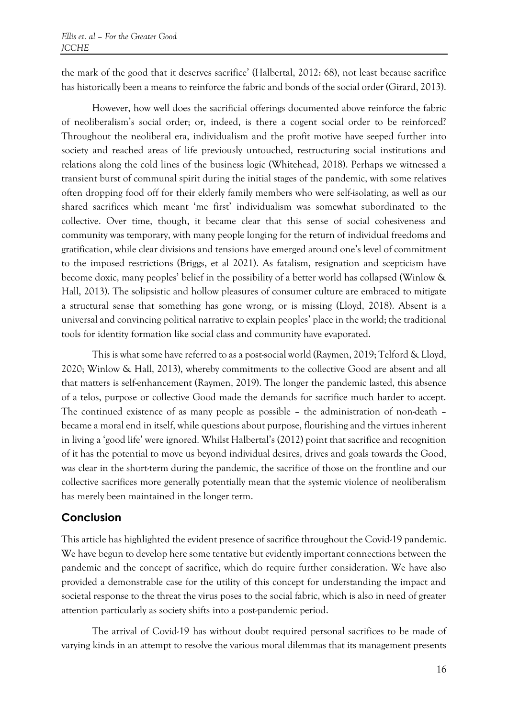the mark of the good that it deserves sacrifice' (Halbertal, 2012: 68), not least because sacrifice has historically been a means to reinforce the fabric and bonds of the social order (Girard, 2013).

However, how well does the sacrificial offerings documented above reinforce the fabric of neoliberalism's social order; or, indeed, is there a cogent social order to be reinforced? Throughout the neoliberal era, individualism and the profit motive have seeped further into society and reached areas of life previously untouched, restructuring social institutions and relations along the cold lines of the business logic (Whitehead, 2018). Perhaps we witnessed a transient burst of communal spirit during the initial stages of the pandemic, with some relatives often dropping food off for their elderly family members who were self-isolating, as well as our shared sacrifices which meant 'me first' individualism was somewhat subordinated to the collective. Over time, though, it became clear that this sense of social cohesiveness and community was temporary, with many people longing for the return of individual freedoms and gratification, while clear divisions and tensions have emerged around one's level of commitment to the imposed restrictions (Briggs, et al 2021). As fatalism, resignation and scepticism have become doxic, many peoples' belief in the possibility of a better world has collapsed (Winlow & Hall, 2013). The solipsistic and hollow pleasures of consumer culture are embraced to mitigate a structural sense that something has gone wrong, or is missing (Lloyd, 2018). Absent is a universal and convincing political narrative to explain peoples' place in the world; the traditional tools for identity formation like social class and community have evaporated.

This is what some have referred to as a post-social world (Raymen, 2019; Telford & Lloyd, 2020; Winlow & Hall, 2013), whereby commitments to the collective Good are absent and all that matters is self-enhancement (Raymen, 2019). The longer the pandemic lasted, this absence of a telos, purpose or collective Good made the demands for sacrifice much harder to accept. The continued existence of as many people as possible – the administration of non-death – became a moral end in itself, while questions about purpose, flourishing and the virtues inherent in living a 'good life' were ignored. Whilst Halbertal's (2012) point that sacrifice and recognition of it has the potential to move us beyond individual desires, drives and goals towards the Good, was clear in the short-term during the pandemic, the sacrifice of those on the frontline and our collective sacrifices more generally potentially mean that the systemic violence of neoliberalism has merely been maintained in the longer term.

## **Conclusion**

This article has highlighted the evident presence of sacrifice throughout the Covid-19 pandemic. We have begun to develop here some tentative but evidently important connections between the pandemic and the concept of sacrifice, which do require further consideration. We have also provided a demonstrable case for the utility of this concept for understanding the impact and societal response to the threat the virus poses to the social fabric, which is also in need of greater attention particularly as society shifts into a post-pandemic period.

The arrival of Covid-19 has without doubt required personal sacrifices to be made of varying kinds in an attempt to resolve the various moral dilemmas that its management presents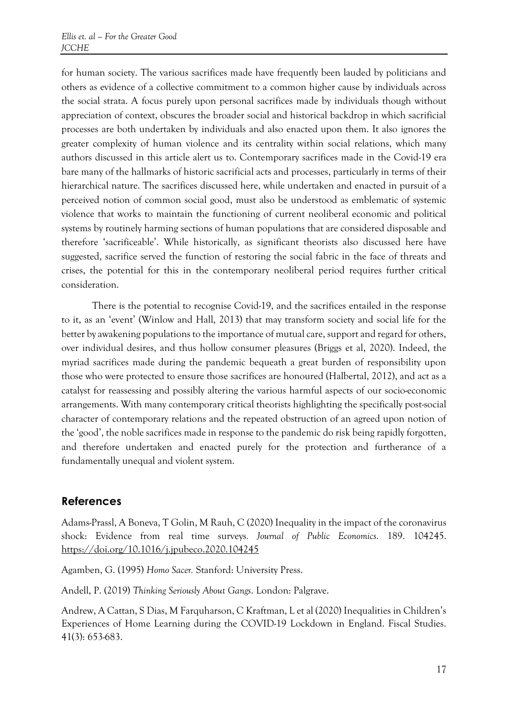for human society. The various sacrifices made have frequently been lauded by politicians and others as evidence of a collective commitment to a common higher cause by individuals across the social strata. A focus purely upon personal sacrifices made by individuals though without appreciation of context, obscures the broader social and historical backdrop in which sacrificial processes are both undertaken by individuals and also enacted upon them. It also ignores the greater complexity of human violence and its centrality within social relations, which many authors discussed in this article alert us to. Contemporary sacrifices made in the Covid-19 era bare many of the hallmarks of historic sacrificial acts and processes, particularly in terms of their hierarchical nature. The sacrifices discussed here, while undertaken and enacted in pursuit of a perceived notion of common social good, must also be understood as emblematic of systemic violence that works to maintain the functioning of current neoliberal economic and political systems by routinely harming sections of human populations that are considered disposable and therefore 'sacrificeable'. While historically, as significant theorists also discussed here have suggested, sacrifice served the function of restoring the social fabric in the face of threats and crises, the potential for this in the contemporary neoliberal period requires further critical consideration.

There is the potential to recognise Covid-19, and the sacrifices entailed in the response to it, as an 'event' (Winlow and Hall, 2013) that may transform society and social life for the better by awakening populations to the importance of mutual care, support and regard for others, over individual desires, and thus hollow consumer pleasures (Briggs et al, 2020). Indeed, the myriad sacrifices made during the pandemic bequeath a great burden of responsibility upon those who were protected to ensure those sacrifices are honoured (Halbertal, 2012), and act as a catalyst for reassessing and possibly altering the various harmful aspects of our socio-economic arrangements. With many contemporary critical theorists highlighting the specifically post-social character of contemporary relations and the repeated obstruction of an agreed upon notion of the 'good', the noble sacrifices made in response to the pandemic do risk being rapidly forgotten, and therefore undertaken and enacted purely for the protection and furtherance of a fundamentally unequal and violent system.

#### **References**

Adams-Prassl, A Boneva, T Golin, M Rauh, C (2020) Inequality in the impact of the coronavirus shock: Evidence from real time surveys*. Journal of Public Economics.* 189. 104245. <https://doi.org/10.1016/j.jpubeco.2020.104245>

Agamben, G. (1995) *Homo Sacer.* Stanford: University Press.

Andell, P. (2019) *Thinking Seriously About Gangs*. London: Palgrave.

Andrew, A Cattan, S Dias, M Farquharson, C Kraftman, L et al (2020) Inequalities in Children's Experiences of Home Learning during the COVID-19 Lockdown in England. Fiscal Studies. 41(3): 653-683.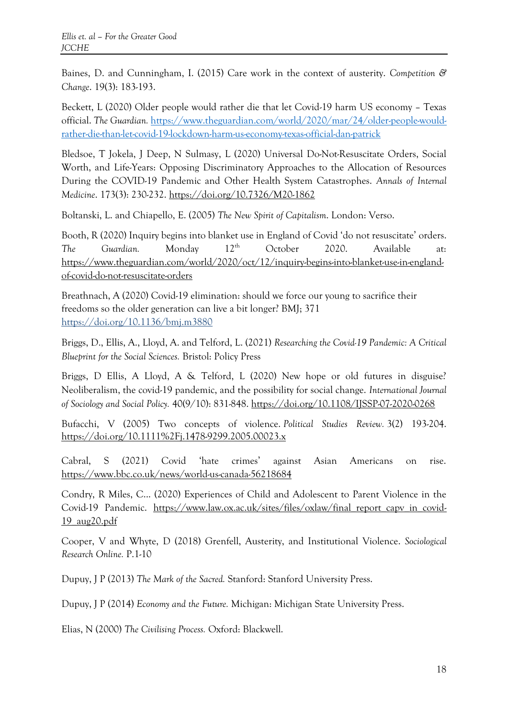Baines, D. and Cunningham, I. (2015) Care work in the context of austerity. *Competition & Change*. 19(3): 183-193.

Beckett, L (2020) Older people would rather die that let Covid-19 harm US economy – Texas official. *The Guardian.* [https://www.theguardian.com/world/2020/mar/24/older-people-would](https://www.theguardian.com/world/2020/mar/24/older-people-would-rather-die-than-let-covid-19-lockdown-harm-us-economy-texas-official-dan-patrick)[rather-die-than-let-covid-19-lockdown-harm-us-economy-texas-official-dan-patrick](https://www.theguardian.com/world/2020/mar/24/older-people-would-rather-die-than-let-covid-19-lockdown-harm-us-economy-texas-official-dan-patrick)

Bledsoe, T Jokela, J Deep, N Sulmasy, L (2020) Universal Do-Not-Resuscitate Orders, Social Worth, and Life-Years: Opposing Discriminatory Approaches to the Allocation of Resources During the COVID-19 Pandemic and Other Health System Catastrophes. *Annals of Internal Medicine*. 173(3): 230-232. <https://doi.org/10.7326/M20-1862>

Boltanski, L. and Chiapello, E. (2005) *The New Spirit of Capitalism*. London: Verso.

Booth, R (2020) Inquiry begins into blanket use in England of Covid 'do not resuscitate' orders. The Guardian. Monday 12<sup>th</sup> October 2020. Available at: [https://www.theguardian.com/world/2020/oct/12/inquiry-begins-into-blanket-use-in-england](https://www.theguardian.com/world/2020/oct/12/inquiry-begins-into-blanket-use-in-england-of-covid-do-not-resuscitate-orders)[of-covid-do-not-resuscitate-orders](https://www.theguardian.com/world/2020/oct/12/inquiry-begins-into-blanket-use-in-england-of-covid-do-not-resuscitate-orders)

Breathnach, A (2020) Covid-19 elimination: should we force our young to sacrifice their freedoms so the older generation can live a bit longer? BMJ; 371 <https://doi.org/10.1136/bmj.m3880>

Briggs, D., Ellis, A., Lloyd, A. and Telford, L. (2021) *Researching the Covid-19 Pandemic: A Critical Blueprint for the Social Sciences.* Bristol: Policy Press

Briggs, D Ellis, A Lloyd, A & Telford, L (2020) New hope or old futures in disguise? Neoliberalism, the covid-19 pandemic, and the possibility for social change. *International Journal of Sociology and Social Policy.* 40(9/10): 831-848.<https://doi.org/10.1108/IJSSP-07-2020-0268>

Bufacchi, V (2005) Two concepts of violence. *Political Studies Review.* 3(2) 193-204. <https://doi.org/10.1111%2Fj.1478-9299.2005.00023.x>

Cabral, S (2021) Covid 'hate crimes' against Asian Americans on rise. <https://www.bbc.co.uk/news/world-us-canada-56218684>

Condry, R Miles, C... (2020) Experiences of Child and Adolescent to Parent Violence in the Covid-19 Pandemic. [https://www.law.ox.ac.uk/sites/files/oxlaw/final\\_report\\_capv\\_in\\_covid-](https://www.law.ox.ac.uk/sites/files/oxlaw/final_report_capv_in_covid-19_aug20.pdf)[19\\_aug20.pdf](https://www.law.ox.ac.uk/sites/files/oxlaw/final_report_capv_in_covid-19_aug20.pdf)

Cooper, V and Whyte, D (2018) Grenfell, Austerity, and Institutional Violence. *Sociological Research Online.* P.1-10

Dupuy, J P (2013) *The Mark of the Sacred.* Stanford: Stanford University Press.

Dupuy, J P (2014) *Economy and the Future.* Michigan: Michigan State University Press.

Elias, N (2000) *The Civilising Process.* Oxford: Blackwell.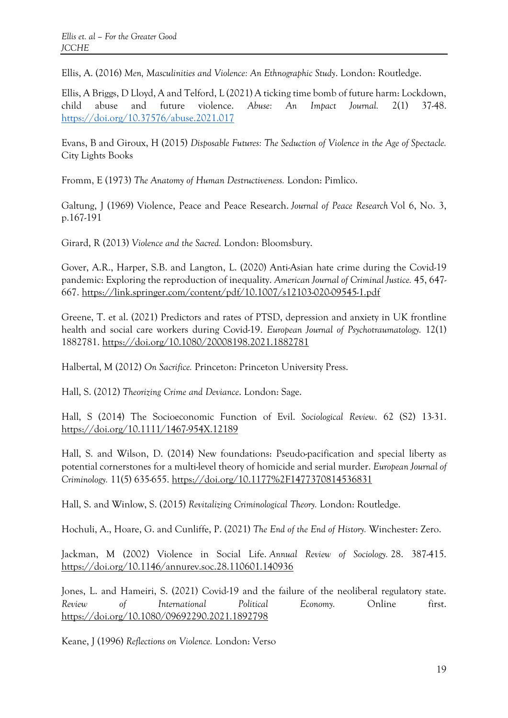Ellis, A. (2016) *Men, Masculinities and Violence: An Ethnographic Study*. London: Routledge.

Ellis, A Briggs, D Lloyd, A and Telford, L (2021) A ticking time bomb of future harm: Lockdown, child abuse and future violence. *Abuse: An Impact Journal.* 2(1) 37-48. <https://doi.org/10.37576/abuse.2021.017>

Evans, B and Giroux, H (2015) *Disposable Futures: The Seduction of Violence in the Age of Spectacle.*  City Lights Books

Fromm, E (1973) *The Anatomy of Human Destructiveness.* London: Pimlico.

Galtung, J (1969) Violence, Peace and Peace Research. *Journal of Peace Research* Vol 6, No. 3, p.167-191

Girard, R (2013) *Violence and the Sacred.* London: Bloomsbury.

Gover, A.R., Harper, S.B. and Langton, L. (2020) Anti-Asian hate crime during the Covid-19 pandemic: Exploring the reproduction of inequality. *American Journal of Criminal Justice.* 45, 647- 667.<https://link.springer.com/content/pdf/10.1007/s12103-020-09545-1.pdf>

Greene, T. et al. (2021) Predictors and rates of PTSD, depression and anxiety in UK frontline health and social care workers during Covid-19. *European Journal of Psychotraumatology.* 12(1) 1882781. <https://doi.org/10.1080/20008198.2021.1882781>

Halbertal, M (2012) *On Sacrifice.* Princeton: Princeton University Press.

Hall, S. (2012) *Theorizing Crime and Deviance*. London: Sage.

Hall, S (2014) The Socioeconomic Function of Evil. *Sociological Review.* 62 (S2) 13-31. <https://doi.org/10.1111/1467-954X.12189>

Hall, S. and Wilson, D. (2014) New foundations: Pseudo-pacification and special liberty as potential cornerstones for a multi-level theory of homicide and serial murder. *European Journal of Criminology.* 11(5) 635-655. <https://doi.org/10.1177%2F1477370814536831>

Hall, S. and Winlow, S. (2015) *Revitalizing Criminological Theory.* London: Routledge.

Hochuli, A., Hoare, G. and Cunliffe, P. (2021) *The End of the End of History.* Winchester: Zero.

Jackman, M (2002) Violence in Social Life. *Annual Review of Sociology.* 28. 387-415. <https://doi.org/10.1146/annurev.soc.28.110601.140936>

Jones, L. and Hameiri, S. (2021) Covid-19 and the failure of the neoliberal regulatory state. *Review of International Political Economy.* Online first. <https://doi.org/10.1080/09692290.2021.1892798>

Keane, J (1996) *Reflections on Violence.* London: Verso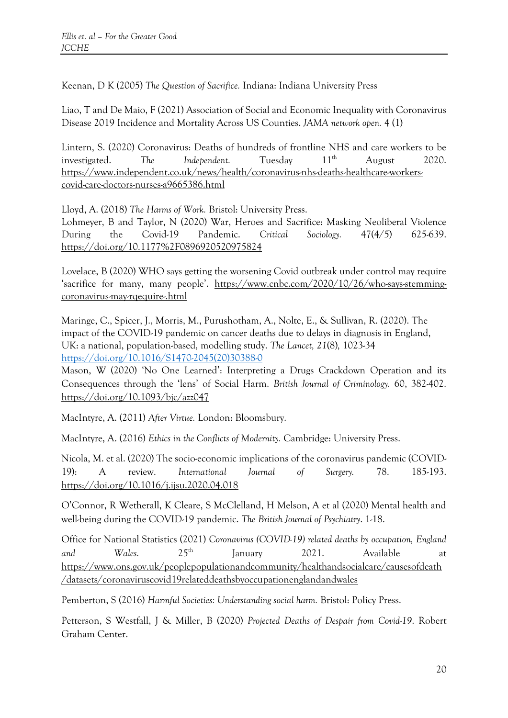Keenan, D K (2005) *The Question of Sacrifice.* Indiana: Indiana University Press

Liao, T and De Maio, F (2021) Association of Social and Economic Inequality with Coronavirus Disease 2019 Incidence and Mortality Across US Counties. *JAMA network open.* 4 (1)

Lintern, S. (2020) Coronavirus: Deaths of hundreds of frontline NHS and care workers to be investigated. The Independent. Tuesday  $11<sup>th</sup>$  August 2020. [https://www.independent.co.uk/news/health/coronavirus-nhs-deaths-healthcare-workers](https://www.independent.co.uk/news/health/coronavirus-nhs-deaths-healthcare-workers-covid-care-doctors-nurses-a9665386.html)[covid-care-doctors-nurses-a9665386.html](https://www.independent.co.uk/news/health/coronavirus-nhs-deaths-healthcare-workers-covid-care-doctors-nurses-a9665386.html)

Lloyd, A. (2018) *The Harms of Work.* Bristol: University Press.

Lohmeyer, B and Taylor, N (2020) War, Heroes and Sacrifice: Masking Neoliberal Violence During the Covid-19 Pandemic. *Critical Sociology.* 47(4/5) 625-639. <https://doi.org/10.1177%2F0896920520975824>

Lovelace, B (2020) WHO says getting the worsening Covid outbreak under control may require 'sacrifice for many, many people'. [https://www.cnbc.com/2020/10/26/who-says-stemming](https://www.cnbc.com/2020/10/26/who-says-stemming-coronavirus-may-rqequire-.html)[coronavirus-may-rqequire-.html](https://www.cnbc.com/2020/10/26/who-says-stemming-coronavirus-may-rqequire-.html)

Maringe, C., Spicer, J., Morris, M., Purushotham, A., Nolte, E., & Sullivan, R. (2020). The impact of the COVID-19 pandemic on cancer deaths due to delays in diagnosis in England, UK: a national, population-based, modelling study. *The Lancet, 21*(8)*,* 1023-34 [https://doi.org/10.1016/S1470-2045\(20\)30388-0](https://doi.org/10.1016/S1470-2045(20)30388-0)

Mason, W (2020) 'No One Learned': Interpreting a Drugs Crackdown Operation and its Consequences through the 'lens' of Social Harm. *British Journal of Criminology.* 60, 382-402. <https://doi.org/10.1093/bjc/azz047>

MacIntyre, A. (2011) *After Virtue.* London: Bloomsbury.

MacIntyre, A. (2016) *Ethics in the Conflicts of Modernity.* Cambridge: University Press.

Nicola, M. et al. (2020) The socio-economic implications of the coronavirus pandemic (COVID-19): A review. *International Journal of Surgery.* 78. 185-193. <https://doi.org/10.1016/j.ijsu.2020.04.018>

O'Connor, R Wetherall, K Cleare, S McClelland, H Melson, A et al (2020) Mental health and well-being during the COVID-19 pandemic. *The British Journal of Psychiatry*. 1-18.

Office for National Statistics (2021) *Coronavirus (COVID-19) related deaths by occupation, England and Wales.* 25th January 2021. Available at [https://www.ons.gov.uk/peoplepopulationandcommunity/healthandsocialcare/causesofdeath](https://www.ons.gov.uk/peoplepopulationandcommunity/healthandsocialcare/causesofdeath/datasets/coronaviruscovid19relateddeathsbyoccupationenglandandwales) [/datasets/coronaviruscovid19relateddeathsbyoccupationenglandandwales](https://www.ons.gov.uk/peoplepopulationandcommunity/healthandsocialcare/causesofdeath/datasets/coronaviruscovid19relateddeathsbyoccupationenglandandwales)

Pemberton, S (2016) *Harmful Societies: Understanding social harm.* Bristol: Policy Press.

Petterson, S Westfall, J & Miller, B (2020) *Projected Deaths of Despair from Covid-19*. Robert Graham Center.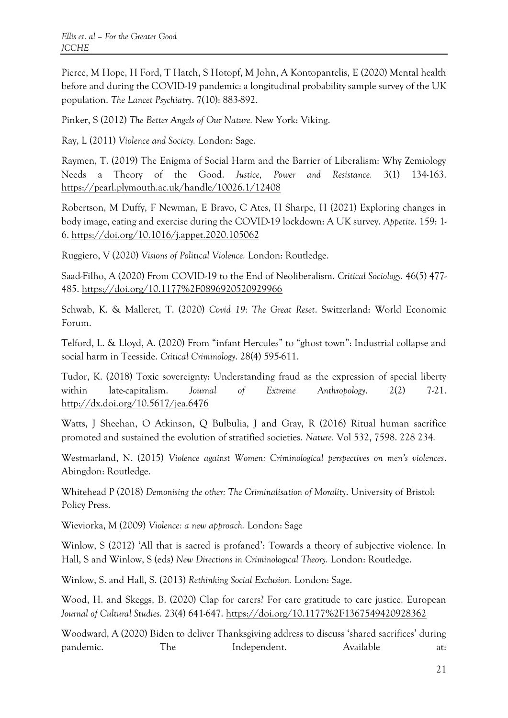Pierce, M Hope, H Ford, T Hatch, S Hotopf, M John, A Kontopantelis, E (2020) Mental health before and during the COVID-19 pandemic: a longitudinal probability sample survey of the UK population. *The Lancet Psychiatry*. 7(10): 883-892.

Pinker, S (2012) *The Better Angels of Our Nature.* New York: Viking.

Ray, L (2011) *Violence and Society.* London: Sage.

Raymen, T. (2019) The Enigma of Social Harm and the Barrier of Liberalism: Why Zemiology Needs a Theory of the Good. *Justice, Power and Resistance.* 3(1) 134-163. <https://pearl.plymouth.ac.uk/handle/10026.1/12408>

Robertson, M Duffy, F Newman, E Bravo, C Ates, H Sharpe, H (2021) Exploring changes in body image, eating and exercise during the COVID-19 lockdown: A UK survey. *Appetite*. 159: 1- 6.<https://doi.org/10.1016/j.appet.2020.105062>

Ruggiero, V (2020) *Visions of Political Violence.* London: Routledge.

Saad-Filho, A (2020) From COVID-19 to the End of Neoliberalism. *Critical Sociology.* 46(5) 477- 485.<https://doi.org/10.1177%2F0896920520929966>

Schwab, K. & Malleret, T. (2020) *Covid 19: The Great Reset*. Switzerland: World Economic Forum.

Telford, L. & Lloyd, A. (2020) From "infant Hercules" to "ghost town": Industrial collapse and social harm in Teesside. *Critical Criminology*. 28(4) 595-611.

Tudor, K. (2018) Toxic sovereignty: Understanding fraud as the expression of special liberty within late-capitalism. *Journal of Extreme Anthropology*. 2(2) 7-21. <http://dx.doi.org/10.5617/jea.6476>

Watts, J Sheehan, O Atkinson, Q Bulbulia, J and Gray, R (2016) Ritual human sacrifice promoted and sustained the evolution of stratified societies. *Nature.* Vol 532, 7598. 228 234*.*

Westmarland, N. (2015) *Violence against Women: Criminological perspectives on men's violences*. Abingdon: Routledge.

Whitehead P (2018) *Demonising the other: The Criminalisation of Morality*. University of Bristol: Policy Press.

Wieviorka, M (2009) *Violence: a new approach.* London: Sage

Winlow, S (2012) 'All that is sacred is profaned': Towards a theory of subjective violence. In Hall, S and Winlow, S (eds) *New Directions in Criminological Theory.* London: Routledge.

Winlow, S. and Hall, S. (2013) *Rethinking Social Exclusion.* London: Sage.

Wood, H. and Skeggs, B. (2020) Clap for carers? For care gratitude to care justice. European *Journal of Cultural Studies.* 23(4) 641-647.<https://doi.org/10.1177%2F1367549420928362>

Woodward, A (2020) Biden to deliver Thanksgiving address to discuss 'shared sacrifices' during pandemic. The Independent. Available at: